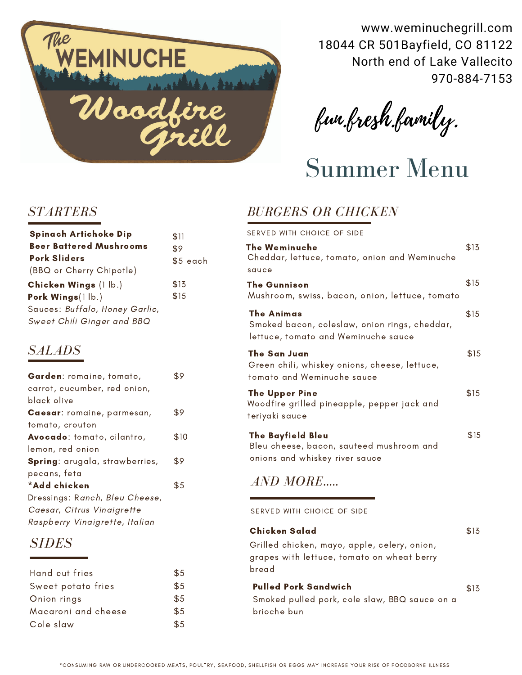

www.weminuchegrill.com 18044 CR 501Bayfield, CO 81122 North end of Lake Vallecito 970-884-7153

fun.fresh.family.

Summer Menu

### *STARTERS*

| <b>Spinach Artichoke Dip</b>   | \$11      |
|--------------------------------|-----------|
| <b>Beer Battered Mushrooms</b> | \$9       |
| <b>Pork Sliders</b>            | $$5$ each |
| (BBQ or Cherry Chipotle)       |           |
| Chicken Wings (1 lb.)          | \$13      |
| Pork Wings(1lb.)               | \$15      |
| Sauces: Buffalo, Honey Garlic, |           |
| Sweet Chili Ginger and BBO     |           |

## *SALADS*

| Garden: romaine, tomato,              | \$9  |
|---------------------------------------|------|
| carrot, cucumber, red onion,          |      |
| black olive                           |      |
| Caesar: romaine, parmesan,            | \$9  |
| tomato, crouton                       |      |
| Avocado: tomato, cilantro,            | \$10 |
| lemon, red onion                      |      |
| <b>Spring:</b> arugala, strawberries, | \$9  |
| pecans, feta                          |      |
| *Add chicken                          | \$5  |
| Dressings: Ranch, Bleu Cheese,        |      |
| Caesar, Citrus Vinaigrette            |      |
| Raspberry Vinaigrette, Italian        |      |

# *SIDES*

| Hand cut fries      | $\$5$ |
|---------------------|-------|
| Sweet potato fries  | \$5   |
| Onion rings         | \$5   |
| Macaroni and cheese | \$5   |
| Cole slaw           | \$5   |

# *BURGERS OR CHICKEN*

SERVED WITH CHOICE OF SIDE

| The Weminuche<br>Cheddar, lettuce, tomato, onion and Weminuche                                         | \$13 |
|--------------------------------------------------------------------------------------------------------|------|
| sauce                                                                                                  |      |
| The Gunnison<br>Mushroom, swiss, bacon, onion, lettuce, tomato                                         | \$15 |
| The Animas<br>Smoked bacon, coleslaw, onion rings, cheddar,<br>lettuce, tomato and Weminuche sauce     | \$15 |
| The San Juan<br>Green chili, whiskey onions, cheese, lettuce,<br>tomato and Weminuche sauce            | \$15 |
| <b>The Upper Pine</b><br>Woodfire grilled pineapple, pepper jack and<br>teriyaki sauce                 | \$15 |
| <b>The Bayfield Bleu</b><br>Bleu cheese, bacon, sauteed mushroom and<br>onions and whiskey river sauce | \$15 |

# \$5 *AND MORE.....*

SERVED WITH CHOICE OF SIDE

Grilled chicken, mayo, apple, celery, onion, grapes with lettuce, tomato on wheat berry bread Chicken Salad

\$13

\$13 Smoked pulled pork, cole slaw, BBQ sauce on a brioche bun Pulled Pork Sandwich